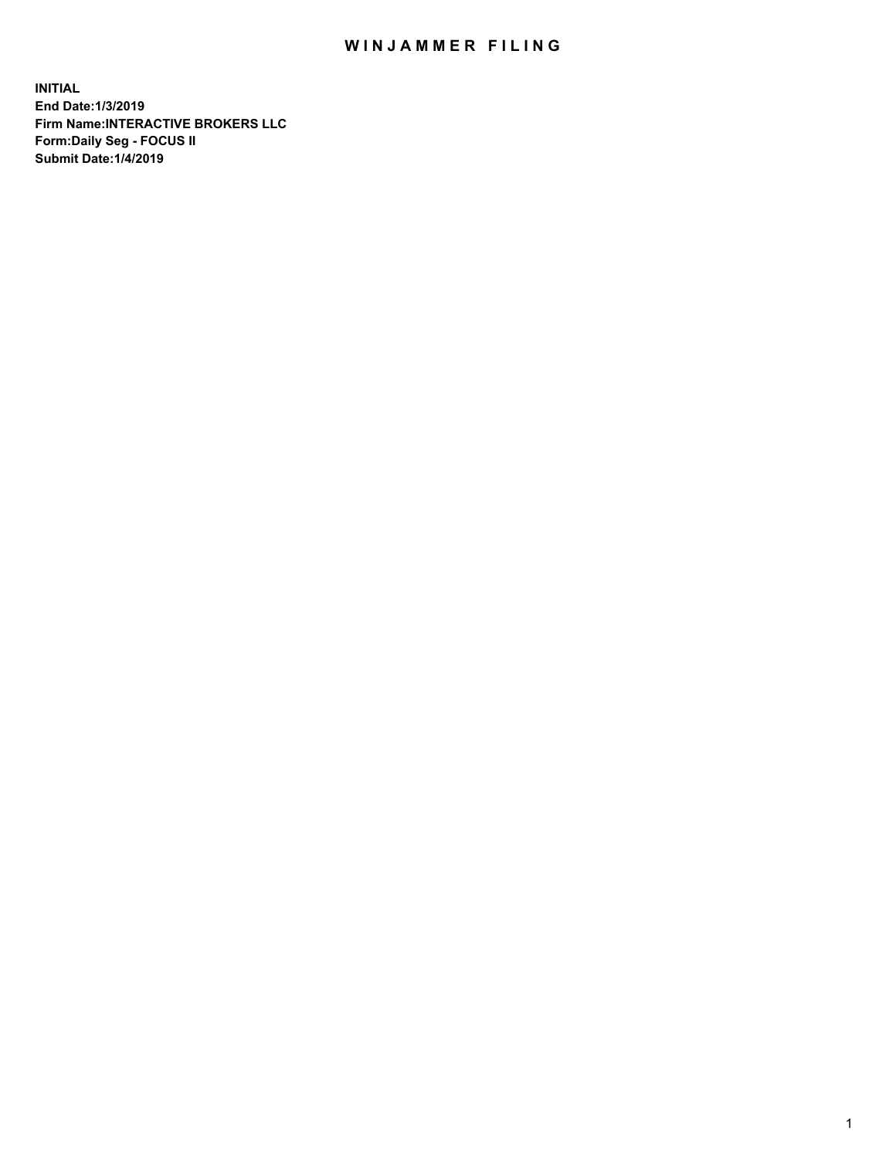## WIN JAMMER FILING

**INITIAL End Date:1/3/2019 Firm Name:INTERACTIVE BROKERS LLC Form:Daily Seg - FOCUS II Submit Date:1/4/2019**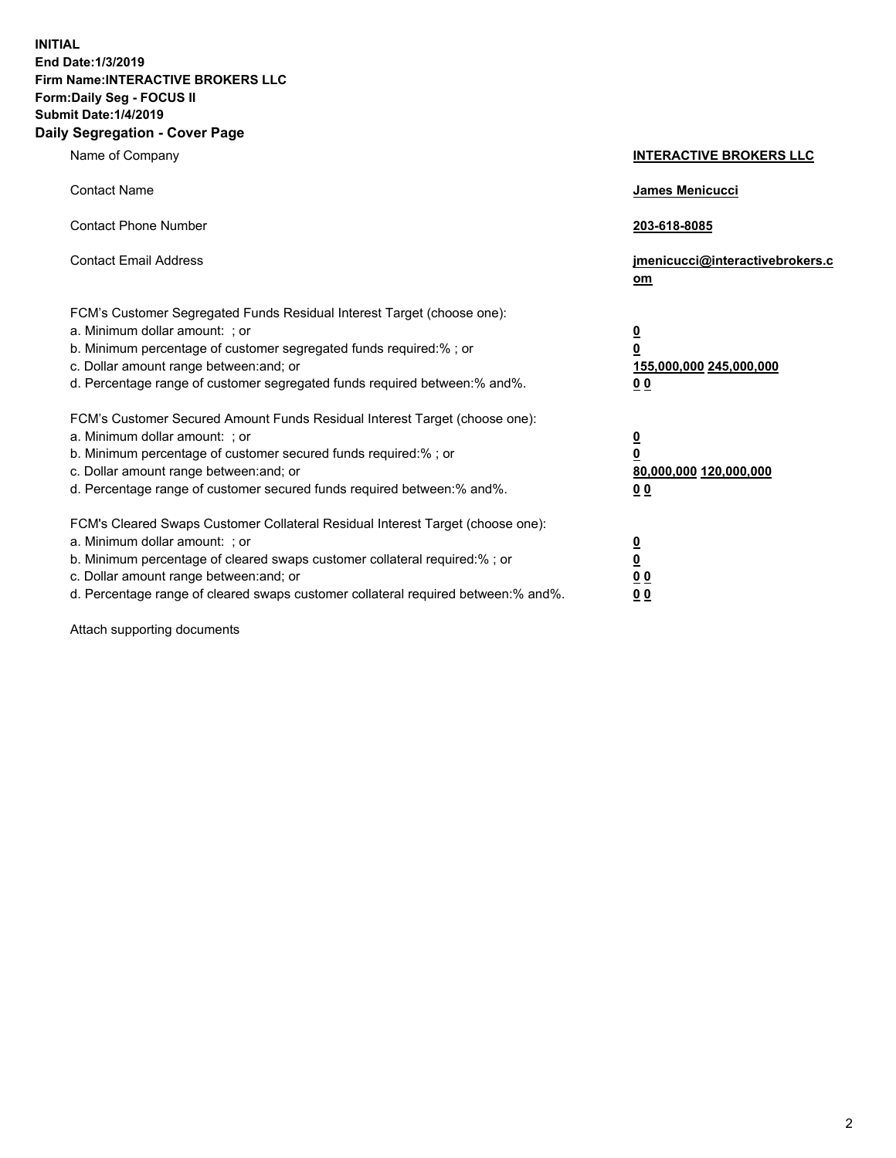**INITIAL End Date:1/3/2019 Firm Name:INTERACTIVE BROKERS LLC Form:Daily Seg - FOCUS II Submit Date:1/4/2019 Daily Segregation - Cover Page**

| Name of Company                                                                                                                                                                                                                                                                                                                | <b>INTERACTIVE BROKERS LLC</b>                                                                  |
|--------------------------------------------------------------------------------------------------------------------------------------------------------------------------------------------------------------------------------------------------------------------------------------------------------------------------------|-------------------------------------------------------------------------------------------------|
| <b>Contact Name</b>                                                                                                                                                                                                                                                                                                            | <b>James Menicucci</b>                                                                          |
| <b>Contact Phone Number</b>                                                                                                                                                                                                                                                                                                    | 203-618-8085                                                                                    |
| <b>Contact Email Address</b>                                                                                                                                                                                                                                                                                                   | jmenicucci@interactivebrokers.c<br>om                                                           |
| FCM's Customer Segregated Funds Residual Interest Target (choose one):<br>a. Minimum dollar amount: ; or<br>b. Minimum percentage of customer segregated funds required:% ; or<br>c. Dollar amount range between: and; or<br>d. Percentage range of customer segregated funds required between:% and%.                         | $\overline{\mathbf{0}}$<br>$\overline{\mathbf{0}}$<br>155,000,000 245,000,000<br>0 <sub>0</sub> |
| FCM's Customer Secured Amount Funds Residual Interest Target (choose one):<br>a. Minimum dollar amount: ; or<br>b. Minimum percentage of customer secured funds required:%; or<br>c. Dollar amount range between: and; or<br>d. Percentage range of customer secured funds required between:% and%.                            | $\frac{0}{0}$<br>80,000,000 120,000,000<br>0 <sub>0</sub>                                       |
| FCM's Cleared Swaps Customer Collateral Residual Interest Target (choose one):<br>a. Minimum dollar amount: ; or<br>b. Minimum percentage of cleared swaps customer collateral required:% ; or<br>c. Dollar amount range between: and; or<br>d. Percentage range of cleared swaps customer collateral required between:% and%. | $\frac{0}{0}$<br>0 <sub>0</sub><br>0 <sub>0</sub>                                               |

Attach supporting documents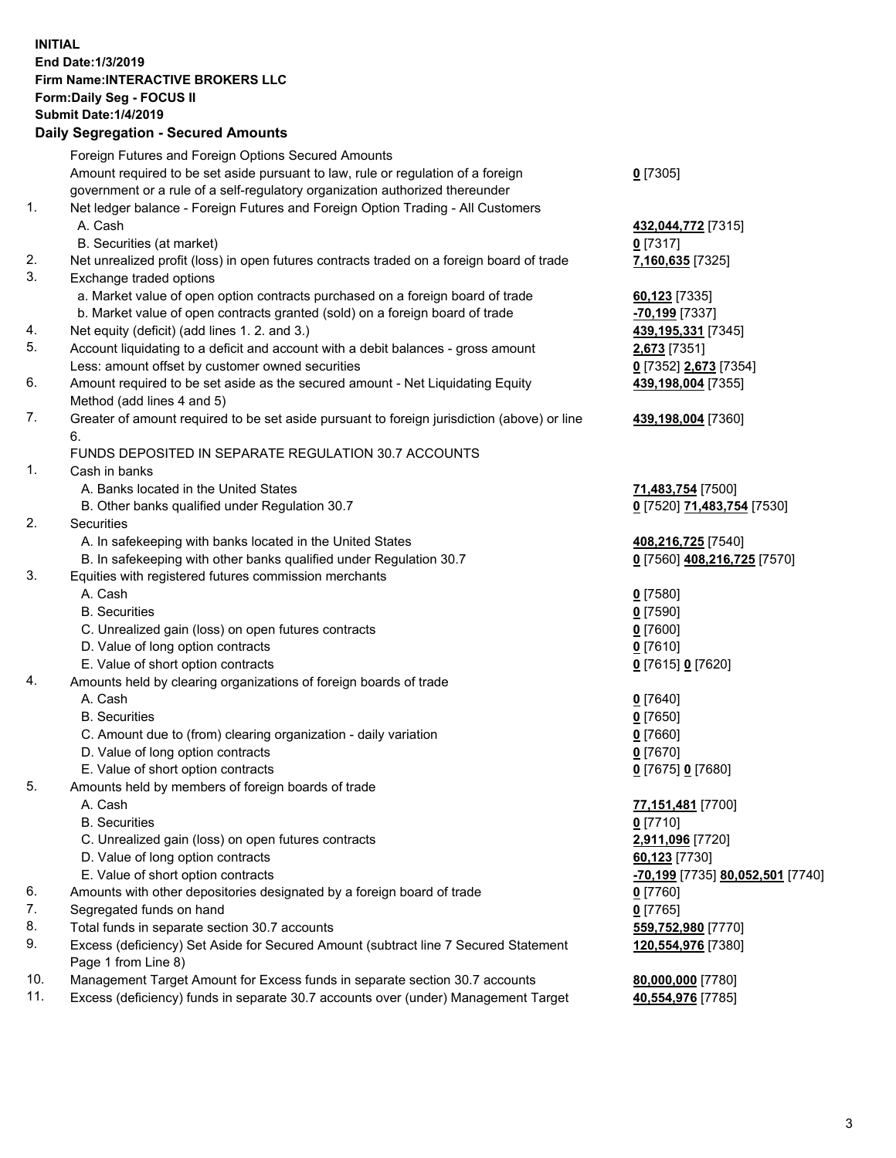## **INITIAL End Date:1/3/2019 Firm Name:INTERACTIVE BROKERS LLC Form:Daily Seg - FOCUS II Submit Date:1/4/2019 Daily Segregation - Secured Amounts**

|     | Foreign Futures and Foreign Options Secured Amounts                                                        |                                               |
|-----|------------------------------------------------------------------------------------------------------------|-----------------------------------------------|
|     | Amount required to be set aside pursuant to law, rule or regulation of a foreign                           | $0$ [7305]                                    |
|     | government or a rule of a self-regulatory organization authorized thereunder                               |                                               |
| 1.  | Net ledger balance - Foreign Futures and Foreign Option Trading - All Customers                            |                                               |
|     | A. Cash                                                                                                    | 432,044,772 [7315]                            |
|     | B. Securities (at market)                                                                                  | $0$ [7317]                                    |
| 2.  | Net unrealized profit (loss) in open futures contracts traded on a foreign board of trade                  | 7,160,635 [7325]                              |
| 3.  | Exchange traded options                                                                                    |                                               |
|     | a. Market value of open option contracts purchased on a foreign board of trade                             | 60,123 [7335]                                 |
|     | b. Market value of open contracts granted (sold) on a foreign board of trade                               | -70,199 [7337]                                |
| 4.  | Net equity (deficit) (add lines 1. 2. and 3.)                                                              | 439,195,331 [7345]                            |
| 5.  | Account liquidating to a deficit and account with a debit balances - gross amount                          | 2,673 [7351]                                  |
|     | Less: amount offset by customer owned securities                                                           | 0 [7352] 2,673 [7354]                         |
| 6.  | Amount required to be set aside as the secured amount - Net Liquidating Equity                             | 439,198,004 [7355]                            |
|     | Method (add lines 4 and 5)                                                                                 |                                               |
| 7.  | Greater of amount required to be set aside pursuant to foreign jurisdiction (above) or line<br>6.          | 439,198,004 [7360]                            |
|     | FUNDS DEPOSITED IN SEPARATE REGULATION 30.7 ACCOUNTS                                                       |                                               |
| 1.  | Cash in banks                                                                                              |                                               |
|     | A. Banks located in the United States                                                                      | 71,483,754 [7500]                             |
|     | B. Other banks qualified under Regulation 30.7                                                             | 0 [7520] 71,483,754 [7530]                    |
| 2.  | Securities                                                                                                 |                                               |
|     | A. In safekeeping with banks located in the United States                                                  | 408,216,725 [7540]                            |
|     | B. In safekeeping with other banks qualified under Regulation 30.7                                         | 0 [7560] 408,216,725 [7570]                   |
| 3.  | Equities with registered futures commission merchants                                                      |                                               |
|     | A. Cash                                                                                                    | $0$ [7580]                                    |
|     | <b>B.</b> Securities                                                                                       | $0$ [7590]                                    |
|     | C. Unrealized gain (loss) on open futures contracts                                                        | $0$ [7600]                                    |
|     | D. Value of long option contracts                                                                          | $0$ [7610]                                    |
|     | E. Value of short option contracts                                                                         | 0 [7615] 0 [7620]                             |
| 4.  | Amounts held by clearing organizations of foreign boards of trade                                          |                                               |
|     | A. Cash                                                                                                    | $0$ [7640]                                    |
|     | <b>B.</b> Securities                                                                                       | $0$ [7650]                                    |
|     | C. Amount due to (from) clearing organization - daily variation                                            | $0$ [7660]                                    |
|     | D. Value of long option contracts                                                                          | $0$ [7670]                                    |
|     | E. Value of short option contracts                                                                         | 0 [7675] 0 [7680]                             |
| 5.  | Amounts held by members of foreign boards of trade                                                         |                                               |
|     | A. Cash                                                                                                    | 77,151,481 [7700]                             |
|     | <b>B.</b> Securities                                                                                       | $0$ [7710]                                    |
|     | C. Unrealized gain (loss) on open futures contracts                                                        | 2,911,096 [7720]                              |
|     | D. Value of long option contracts                                                                          | 60,123 [7730]                                 |
|     | E. Value of short option contracts                                                                         | <mark>-70,199</mark> [7735] 80,052,501 [7740] |
| 6.  | Amounts with other depositories designated by a foreign board of trade                                     | $0$ [7760]                                    |
| 7.  | Segregated funds on hand                                                                                   | $0$ [7765]                                    |
| 8.  | Total funds in separate section 30.7 accounts                                                              | 559,752,980 [7770]                            |
| 9.  | Excess (deficiency) Set Aside for Secured Amount (subtract line 7 Secured Statement<br>Page 1 from Line 8) | 120,554,976 [7380]                            |
| 10. | Management Target Amount for Excess funds in separate section 30.7 accounts                                | 80,000,000 [7780]                             |
| 11. | Excess (deficiency) funds in separate 30.7 accounts over (under) Management Target                         | 40,554,976 [7785]                             |
|     |                                                                                                            |                                               |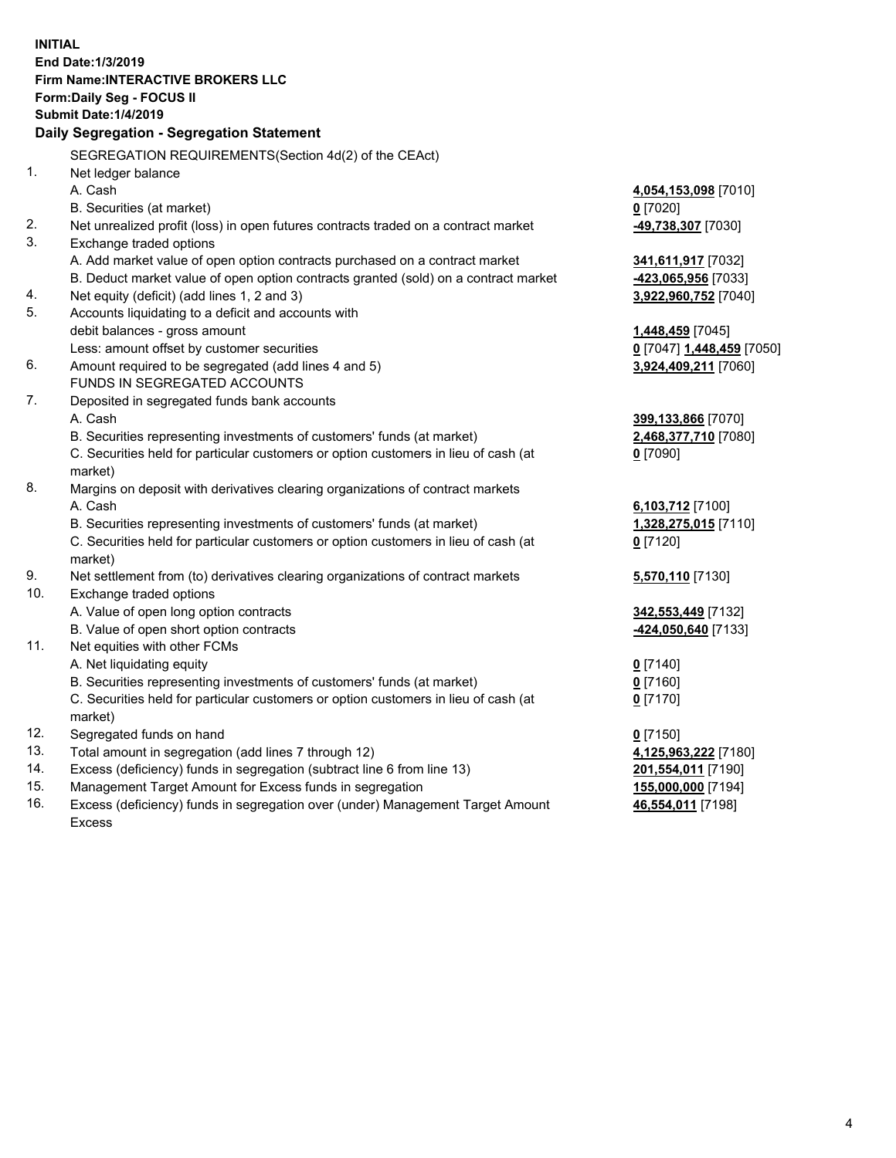| <b>INITIAL</b> |                                                                                                    |                                               |
|----------------|----------------------------------------------------------------------------------------------------|-----------------------------------------------|
|                | End Date: 1/3/2019                                                                                 |                                               |
|                | <b>Firm Name:INTERACTIVE BROKERS LLC</b>                                                           |                                               |
|                | Form: Daily Seg - FOCUS II                                                                         |                                               |
|                | <b>Submit Date: 1/4/2019</b>                                                                       |                                               |
|                | Daily Segregation - Segregation Statement                                                          |                                               |
|                |                                                                                                    |                                               |
| 1.             | SEGREGATION REQUIREMENTS(Section 4d(2) of the CEAct)                                               |                                               |
|                | Net ledger balance<br>A. Cash                                                                      |                                               |
|                |                                                                                                    | 4,054,153,098 [7010]                          |
|                | B. Securities (at market)                                                                          | $0$ [7020]                                    |
| 2.<br>3.       | Net unrealized profit (loss) in open futures contracts traded on a contract market                 | 49,738,307 [7030]                             |
|                | Exchange traded options                                                                            |                                               |
|                | A. Add market value of open option contracts purchased on a contract market                        | 341,611,917 [7032]                            |
| 4.             | B. Deduct market value of open option contracts granted (sold) on a contract market                | -423,065,956 [7033]                           |
| 5.             | Net equity (deficit) (add lines 1, 2 and 3)                                                        | 3,922,960,752 [7040]                          |
|                | Accounts liquidating to a deficit and accounts with                                                |                                               |
|                | debit balances - gross amount                                                                      | 1,448,459 [7045]<br>0 [7047] 1,448,459 [7050] |
| 6.             | Less: amount offset by customer securities<br>Amount required to be segregated (add lines 4 and 5) |                                               |
|                | FUNDS IN SEGREGATED ACCOUNTS                                                                       | 3,924,409,211 [7060]                          |
| 7.             | Deposited in segregated funds bank accounts                                                        |                                               |
|                | A. Cash                                                                                            | 399,133,866 [7070]                            |
|                | B. Securities representing investments of customers' funds (at market)                             | 2,468,377,710 [7080]                          |
|                | C. Securities held for particular customers or option customers in lieu of cash (at                | $0$ [7090]                                    |
|                | market)                                                                                            |                                               |
| 8.             | Margins on deposit with derivatives clearing organizations of contract markets                     |                                               |
|                | A. Cash                                                                                            | 6,103,712 [7100]                              |
|                | B. Securities representing investments of customers' funds (at market)                             | 1,328,275,015 [7110]                          |
|                | C. Securities held for particular customers or option customers in lieu of cash (at                | $0$ [7120]                                    |
|                | market)                                                                                            |                                               |
| 9.             | Net settlement from (to) derivatives clearing organizations of contract markets                    | 5,570,110 [7130]                              |
| 10.            | Exchange traded options                                                                            |                                               |
|                | A. Value of open long option contracts                                                             | 342,553,449 [7132]                            |
|                | B. Value of open short option contracts                                                            | -424,050,640 [7133]                           |
| 11.            | Net equities with other FCMs                                                                       |                                               |
|                | A. Net liquidating equity                                                                          | $0$ [7140]                                    |
|                | B. Securities representing investments of customers' funds (at market)                             | $0$ [7160]                                    |
|                | C. Securities held for particular customers or option customers in lieu of cash (at                | $0$ [7170]                                    |
|                | market)                                                                                            |                                               |
| 12.            | Segregated funds on hand                                                                           | $0$ [7150]                                    |
| 13.            | Total amount in segregation (add lines 7 through 12)                                               | 4,125,963,222 [7180]                          |
| 14.            | Excess (deficiency) funds in segregation (subtract line 6 from line 13)                            | 201,554,011 [7190]                            |
| 15.            | Management Target Amount for Excess funds in segregation                                           | 155,000,000 [7194]                            |
| 16.            | Excess (deficiency) funds in segregation over (under) Management Target Amount                     | 46,554,011 [7198]                             |

16. Excess (deficiency) funds in segregation over (under) Management Target Amount Excess